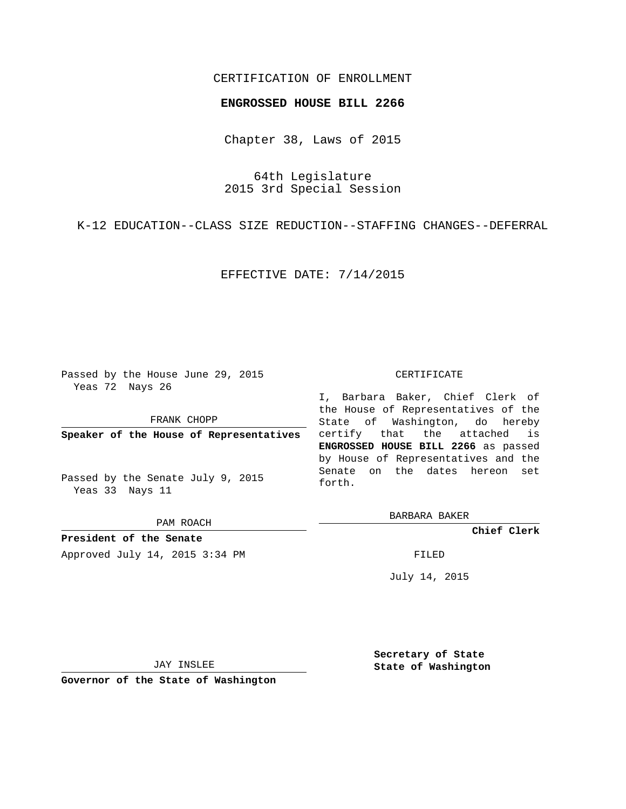## CERTIFICATION OF ENROLLMENT

## **ENGROSSED HOUSE BILL 2266**

Chapter 38, Laws of 2015

64th Legislature 2015 3rd Special Session

K-12 EDUCATION--CLASS SIZE REDUCTION--STAFFING CHANGES--DEFERRAL

EFFECTIVE DATE: 7/14/2015

Passed by the House June 29, 2015 Yeas 72 Nays 26

FRANK CHOPP

**Speaker of the House of Representatives**

Passed by the Senate July 9, 2015 Yeas 33 Nays 11

PAM ROACH

**President of the Senate** Approved July 14, 2015 3:34 PM FILED

## CERTIFICATE

I, Barbara Baker, Chief Clerk of the House of Representatives of the State of Washington, do hereby certify that the attached is **ENGROSSED HOUSE BILL 2266** as passed by House of Representatives and the Senate on the dates hereon set forth.

BARBARA BAKER

**Chief Clerk**

July 14, 2015

JAY INSLEE

**Governor of the State of Washington**

**Secretary of State State of Washington**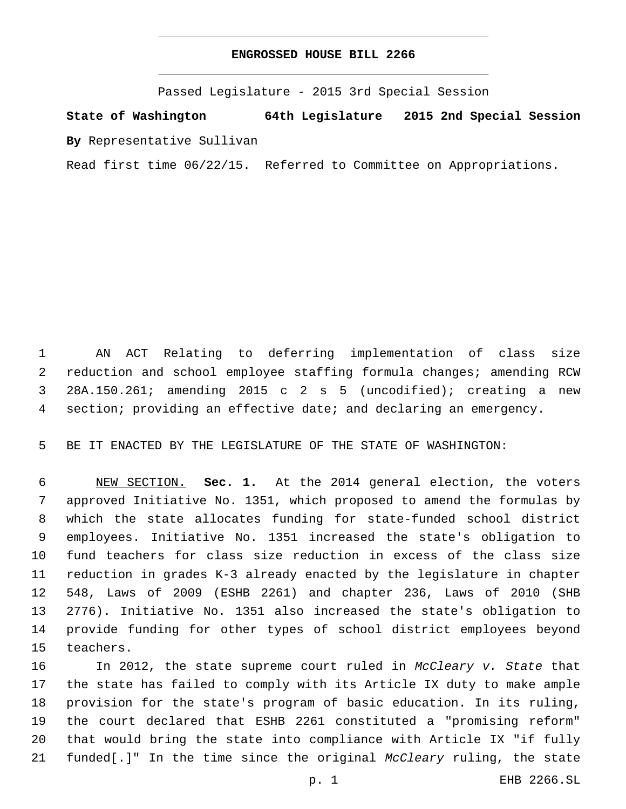## **ENGROSSED HOUSE BILL 2266**

Passed Legislature - 2015 3rd Special Session

**State of Washington 64th Legislature 2015 2nd Special Session By** Representative Sullivan

Read first time 06/22/15. Referred to Committee on Appropriations.

 AN ACT Relating to deferring implementation of class size reduction and school employee staffing formula changes; amending RCW 28A.150.261; amending 2015 c 2 s 5 (uncodified); creating a new section; providing an effective date; and declaring an emergency.

BE IT ENACTED BY THE LEGISLATURE OF THE STATE OF WASHINGTON:

 NEW SECTION. **Sec. 1.** At the 2014 general election, the voters approved Initiative No. 1351, which proposed to amend the formulas by which the state allocates funding for state-funded school district employees. Initiative No. 1351 increased the state's obligation to fund teachers for class size reduction in excess of the class size reduction in grades K-3 already enacted by the legislature in chapter 548, Laws of 2009 (ESHB 2261) and chapter 236, Laws of 2010 (SHB 2776). Initiative No. 1351 also increased the state's obligation to provide funding for other types of school district employees beyond teachers.

 In 2012, the state supreme court ruled in *McCleary v. State* that the state has failed to comply with its Article IX duty to make ample provision for the state's program of basic education. In its ruling, the court declared that ESHB 2261 constituted a "promising reform" that would bring the state into compliance with Article IX "if fully funded[.]" In the time since the original *McCleary* ruling, the state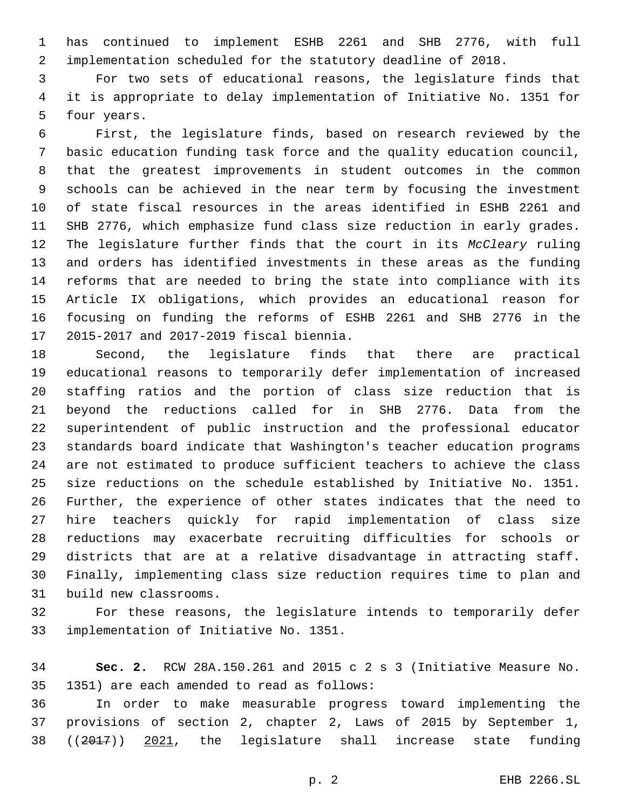has continued to implement ESHB 2261 and SHB 2776, with full implementation scheduled for the statutory deadline of 2018.

 For two sets of educational reasons, the legislature finds that it is appropriate to delay implementation of Initiative No. 1351 for 5 four years.

 First, the legislature finds, based on research reviewed by the basic education funding task force and the quality education council, that the greatest improvements in student outcomes in the common schools can be achieved in the near term by focusing the investment of state fiscal resources in the areas identified in ESHB 2261 and SHB 2776, which emphasize fund class size reduction in early grades. The legislature further finds that the court in its *McCleary* ruling and orders has identified investments in these areas as the funding reforms that are needed to bring the state into compliance with its Article IX obligations, which provides an educational reason for focusing on funding the reforms of ESHB 2261 and SHB 2776 in the 17 2015-2017 and 2017-2019 fiscal biennia.

 Second, the legislature finds that there are practical educational reasons to temporarily defer implementation of increased staffing ratios and the portion of class size reduction that is beyond the reductions called for in SHB 2776. Data from the superintendent of public instruction and the professional educator standards board indicate that Washington's teacher education programs are not estimated to produce sufficient teachers to achieve the class size reductions on the schedule established by Initiative No. 1351. Further, the experience of other states indicates that the need to hire teachers quickly for rapid implementation of class size reductions may exacerbate recruiting difficulties for schools or districts that are at a relative disadvantage in attracting staff. Finally, implementing class size reduction requires time to plan and 31 build new classrooms.

 For these reasons, the legislature intends to temporarily defer 33 implementation of Initiative No. 1351.

 **Sec. 2.** RCW 28A.150.261 and 2015 c 2 s 3 (Initiative Measure No. 35 1351) are each amended to read as follows:

 In order to make measurable progress toward implementing the provisions of section 2, chapter 2, Laws of 2015 by September 1, ((2017)) 2021, the legislature shall increase state funding